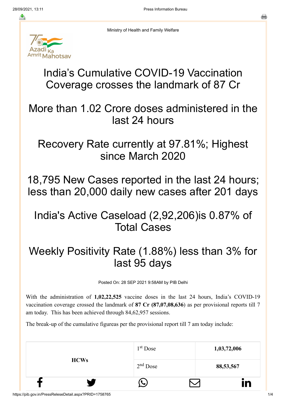Ministry of Health and Family Welfare



India's Cumulative COVID-19 Vaccination Coverage crosses the landmark of 87 Cr

More than 1.02 Crore doses administered in the last 24 hours

Recovery Rate currently at 97.81%; Highest since March 2020

18,795 New Cases reported in the last 24 hours; less than 20,000 daily new cases after 201 days

## India's Active Caseload (2,92,206)is 0.87% of Total Cases

## Weekly Positivity Rate (1.88%) less than 3% for last 95 days

Posted On: 28 SEP 2021 9:58AM by PIB Delhi

With the administration of **1,02,22,525** vaccine doses in the last 24 hours, India's COVID-19 vaccination coverage crossed the landmark of **87 Cr (87,07,08,636**) as per provisional reports till 7 am today. This has been achieved through 84,62,957 sessions.

The break-up of the cumulative figureas per the provisional report till 7 am today include:

|             |  | $1st$ Dose | 1,03,72,006 |    |
|-------------|--|------------|-------------|----|
| <b>HCWs</b> |  | $2nd$ Dose | 88,53,567   |    |
|             |  |            |             | In |

https://pib.gov.in/PressReleseDetail.aspx?PRID=1758765 1/4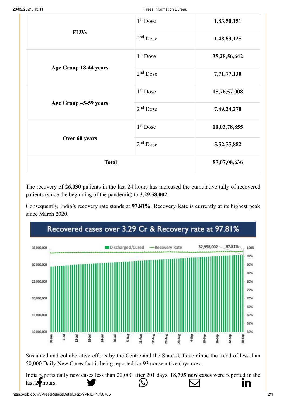|                       | $1st$ Dose   | 1,83,50,151    |
|-----------------------|--------------|----------------|
| <b>FLWs</b>           | $2nd$ Dose   | 1,48,83,125    |
|                       | $1st$ Dose   | 35,28,56,642   |
| Age Group 18-44 years | $2nd$ Dose   | 7,71,77,130    |
|                       | $1st$ Dose   | 15,76,57,008   |
| Age Group 45-59 years | $2nd$ Dose   | 7,49,24,270    |
|                       | $1st$ Dose   | 10,03,78,855   |
| Over 60 years         | $2nd$ Dose   | 5, 52, 55, 882 |
| <b>Total</b>          | 87,07,08,636 |                |

The recovery of **26,030** patients in the last 24 hours has increased the cumulative tally of recovered patients (since the beginning of the pandemic) to **3,29,58,002.**

Consequently, India's recovery rate stands at **97.81%**. Recovery Rate is currently at its highest peak since March 2020.



Sustained and collaborative efforts by the Centre and the States/UTs continue the trend of less than 50,000 Daily New Cases that is being reported for 93 consecutive days now.

[India reports dail](http://www.facebook.com/share.php?u=https://pib.gov.in/PressReleasePage.aspx?PRID=1758765)[y new cases less than](https://twitter.com/intent/tweet?url=https://pib.gov.in/PressReleasePage.aspx?PRID=1758765&text=India%E2%80%99s%20Cumulative%20COVID-19%20Vaccination%20Coverage%20crosses%20the%20landmark%20of%2087%20Cr) [20,000 after 201 days.](https://api.whatsapp.com/send?text=https://pib.gov.in/PressReleasePage.aspx?PRID=1758765) **[18,795 new cases](https://mail.google.com/mail/?view=cm&fs=1&tf=1&to=&su=India%E2%80%99s%20Cumulative%20COVID-19%20Vaccination%20Coverage%20crosses%20the%20landmark%20of%2087%20Cr&body=https://pib.gov.in/PressReleasePage.aspx?PRID=1758765&ui=2&tf=1&pli=1)** we[re reported in the](https://www.linkedin.com/shareArticle?mini=true&url=https://pib.gov.in/PressReleasePage.aspx?PRID=1758765&title=India%E2%80%99s%20Cumulative%20COVID-19%20Vaccination%20Coverage%20crosses%20the%20landmark%20of%2087%20Cr&summary=My%20favorite%20developer%20program&source=LinkedIn) last  $2+$  hours.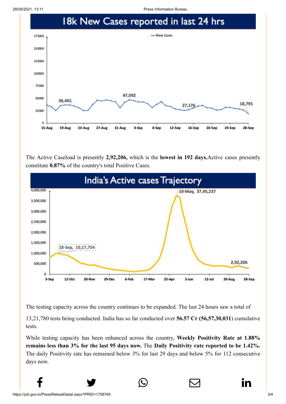28/09/2021, 13:11 Press Information Bureau



The Active Caseload is presently **2,92,206,** which is the **lowest in 192 days.**Active cases presently constitute **0.87%** of the country's total Positive Cases.



The testing capacity across the country continues to be expanded. The last 24 hours saw a total of

13,21,780 tests being conducted. India has so far conducted over **56.57 Cr (56,57,30,031**) cumulative tests.

While testing capacity has been enhanced across the country, **Weekly Positivity Rate at 1.88% remains less than 3% for the last 95 days now.** The **Daily Positivity rate reported to be 1.42%.** The daily Positivity rate has remained below 3% for last 29 days and below 5% for 112 consecutive days now.

 $f$  y  $\circledcirc$   $\quad \circledcirc$  in